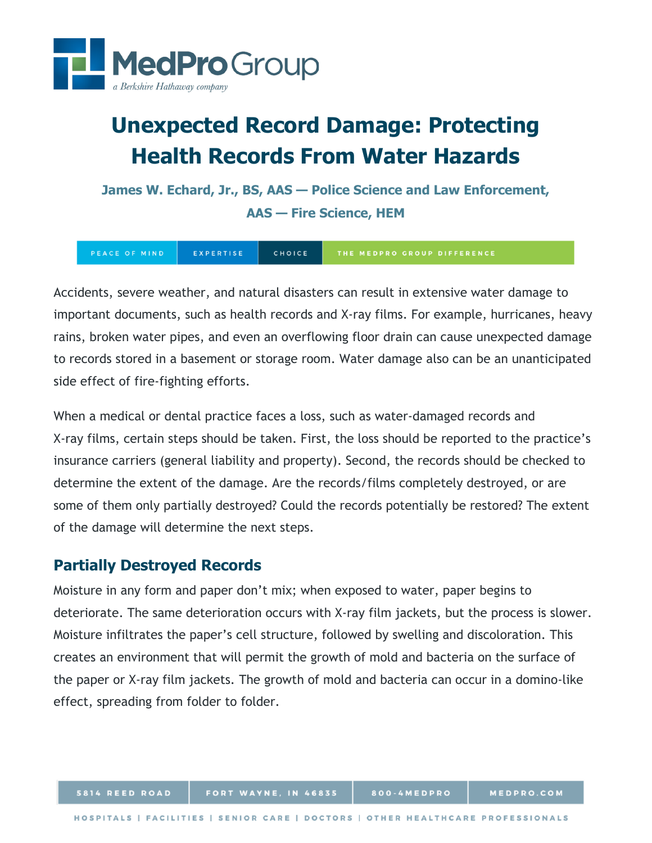

# **Unexpected Record Damage: Protecting Health Records From Water Hazards**

**James W. Echard, Jr., BS, AAS — Police Science and Law Enforcement, AAS — Fire Science, HEM**

EXPERTISE CHOICE PEACE OF MIND

Accidents, severe weather, and natural disasters can result in extensive water damage to important documents, such as health records and X-ray films. For example, hurricanes, heavy rains, broken water pipes, and even an overflowing floor drain can cause unexpected damage to records stored in a basement or storage room. Water damage also can be an unanticipated side effect of fire-fighting efforts.

When a medical or dental practice faces a loss, such as water-damaged records and X-ray films, certain steps should be taken. First, the loss should be reported to the practice's insurance carriers (general liability and property). Second, the records should be checked to determine the extent of the damage. Are the records/films completely destroyed, or are some of them only partially destroyed? Could the records potentially be restored? The extent of the damage will determine the next steps.

# **Partially Destroyed Records**

Moisture in any form and paper don't mix; when exposed to water, paper begins to deteriorate. The same deterioration occurs with X-ray film jackets, but the process is slower. Moisture infiltrates the paper's cell structure, followed by swelling and discoloration. This creates an environment that will permit the growth of mold and bacteria on the surface of the paper or X-ray film jackets. The growth of mold and bacteria can occur in a domino-like effect, spreading from folder to folder.

800-4MEDPRO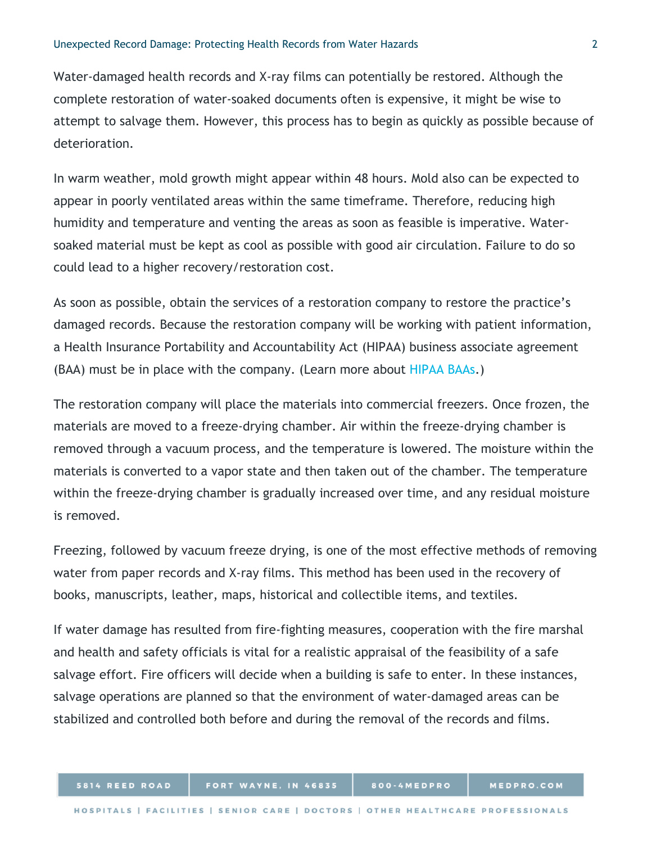Water-damaged health records and X-ray films can potentially be restored. Although the complete restoration of water-soaked documents often is expensive, it might be wise to attempt to salvage them. However, this process has to begin as quickly as possible because of deterioration.

In warm weather, mold growth might appear within 48 hours. Mold also can be expected to appear in poorly ventilated areas within the same timeframe. Therefore, reducing high humidity and temperature and venting the areas as soon as feasible is imperative. Watersoaked material must be kept as cool as possible with good air circulation. Failure to do so could lead to a higher recovery/restoration cost.

As soon as possible, obtain the services of a restoration company to restore the practice's damaged records. Because the restoration company will be working with patient information, a Health Insurance Portability and Accountability Act (HIPAA) business associate agreement (BAA) must be in place with the company. (Learn more about [HIPAA BAAs.](https://www.hhs.gov/hipaa/for-professionals/covered-entities/sample-business-associate-agreement-provisions/index.html))

The restoration company will place the materials into commercial freezers. Once frozen, the materials are moved to a freeze-drying chamber. Air within the freeze-drying chamber is removed through a vacuum process, and the temperature is lowered. The moisture within the materials is converted to a vapor state and then taken out of the chamber. The temperature within the freeze-drying chamber is gradually increased over time, and any residual moisture is removed.

Freezing, followed by vacuum freeze drying, is one of the most effective methods of removing water from paper records and X-ray films. This method has been used in the recovery of books, manuscripts, leather, maps, historical and collectible items, and textiles.

If water damage has resulted from fire-fighting measures, cooperation with the fire marshal and health and safety officials is vital for a realistic appraisal of the feasibility of a safe salvage effort. Fire officers will decide when a building is safe to enter. In these instances, salvage operations are planned so that the environment of water-damaged areas can be stabilized and controlled both before and during the removal of the records and films.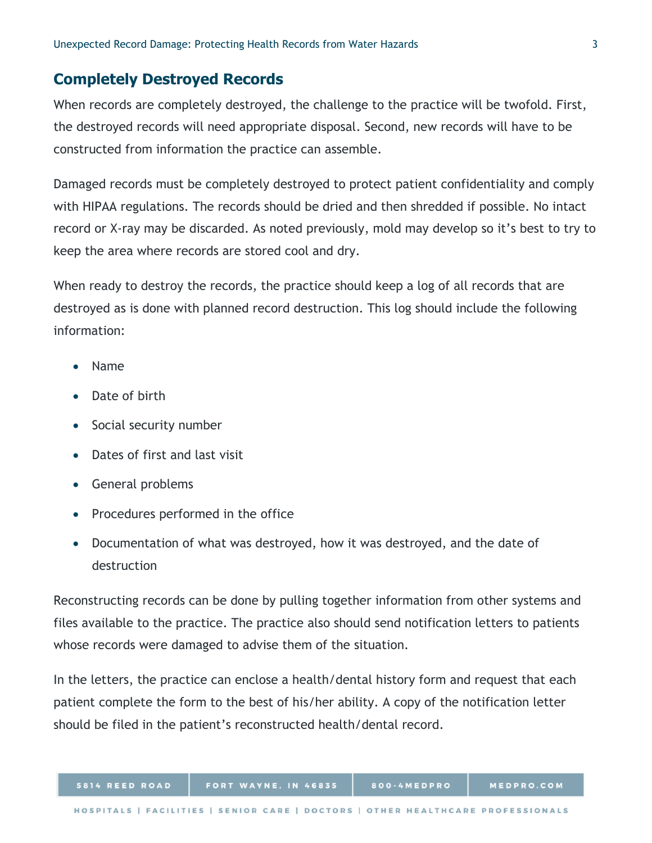## **Completely Destroyed Records**

When records are completely destroyed, the challenge to the practice will be twofold. First, the destroyed records will need appropriate disposal. Second, new records will have to be constructed from information the practice can assemble.

Damaged records must be completely destroyed to protect patient confidentiality and comply with HIPAA regulations. The records should be dried and then shredded if possible. No intact record or X-ray may be discarded. As noted previously, mold may develop so it's best to try to keep the area where records are stored cool and dry.

When ready to destroy the records, the practice should keep a log of all records that are destroyed as is done with planned record destruction. This log should include the following information:

- Name
- Date of birth
- Social security number
- Dates of first and last visit
- General problems
- Procedures performed in the office
- Documentation of what was destroyed, how it was destroyed, and the date of destruction

Reconstructing records can be done by pulling together information from other systems and files available to the practice. The practice also should send notification letters to patients whose records were damaged to advise them of the situation.

In the letters, the practice can enclose a health/dental history form and request that each patient complete the form to the best of his/her ability. A copy of the notification letter should be filed in the patient's reconstructed health/dental record.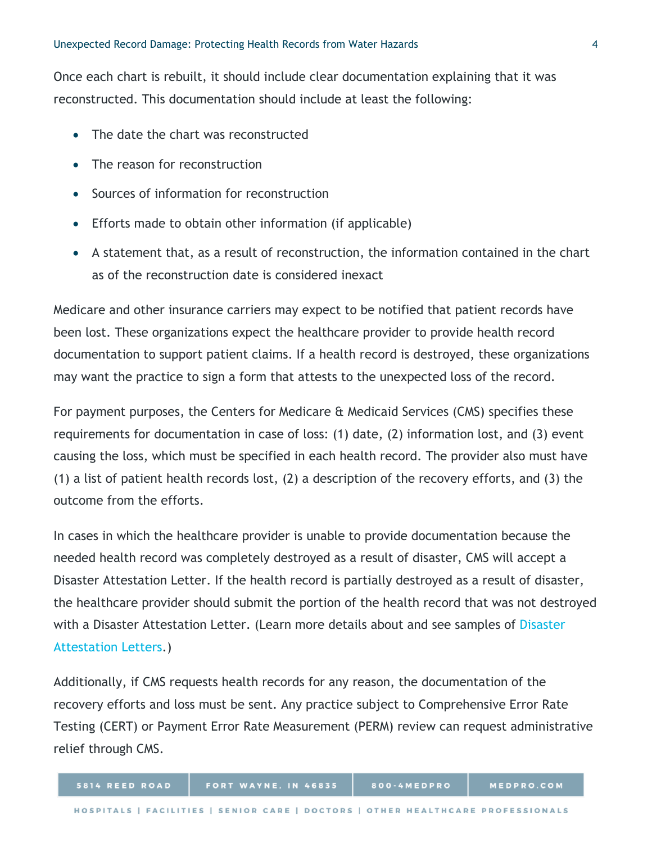Once each chart is rebuilt, it should include clear documentation explaining that it was reconstructed. This documentation should include at least the following:

- The date the chart was reconstructed
- The reason for reconstruction
- Sources of information for reconstruction
- Efforts made to obtain other information (if applicable)
- A statement that, as a result of reconstruction, the information contained in the chart as of the reconstruction date is considered inexact

Medicare and other insurance carriers may expect to be notified that patient records have been lost. These organizations expect the healthcare provider to provide health record documentation to support patient claims. If a health record is destroyed, these organizations may want the practice to sign a form that attests to the unexpected loss of the record.

For payment purposes, the Centers for Medicare & Medicaid Services (CMS) specifies these requirements for documentation in case of loss: (1) date, (2) information lost, and (3) event causing the loss, which must be specified in each health record. The provider also must have (1) a list of patient health records lost, (2) a description of the recovery efforts, and (3) the outcome from the efforts.

In cases in which the healthcare provider is unable to provide documentation because the needed health record was completely destroyed as a result of disaster, CMS will accept a Disaster Attestation Letter. If the health record is partially destroyed as a result of disaster, the healthcare provider should submit the portion of the health record that was not destroyed with a [Disaster](https://certprovider.admedcorp.com/Home/AttestationLetters) Attestation Letter. (Learn more details about and see samples of Disaster [Attestation Letters.](https://certprovider.admedcorp.com/Home/AttestationLetters))

Additionally, if CMS requests health records for any reason, the documentation of the recovery efforts and loss must be sent. Any practice subject to Comprehensive Error Rate Testing (CERT) or Payment Error Rate Measurement (PERM) review can request administrative relief through CMS.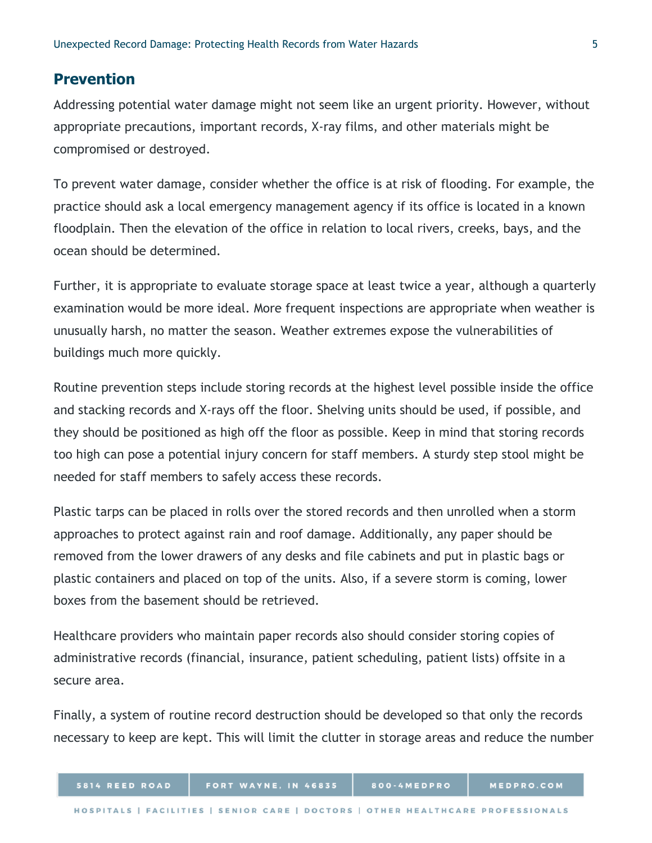#### **Prevention**

Addressing potential water damage might not seem like an urgent priority. However, without appropriate precautions, important records, X-ray films, and other materials might be compromised or destroyed.

To prevent water damage, consider whether the office is at risk of flooding. For example, the practice should ask a local emergency management agency if its office is located in a known floodplain. Then the elevation of the office in relation to local rivers, creeks, bays, and the ocean should be determined.

Further, it is appropriate to evaluate storage space at least twice a year, although a quarterly examination would be more ideal. More frequent inspections are appropriate when weather is unusually harsh, no matter the season. Weather extremes expose the vulnerabilities of buildings much more quickly.

Routine prevention steps include storing records at the highest level possible inside the office and stacking records and X-rays off the floor. Shelving units should be used, if possible, and they should be positioned as high off the floor as possible. Keep in mind that storing records too high can pose a potential injury concern for staff members. A sturdy step stool might be needed for staff members to safely access these records.

Plastic tarps can be placed in rolls over the stored records and then unrolled when a storm approaches to protect against rain and roof damage. Additionally, any paper should be removed from the lower drawers of any desks and file cabinets and put in plastic bags or plastic containers and placed on top of the units. Also, if a severe storm is coming, lower boxes from the basement should be retrieved.

Healthcare providers who maintain paper records also should consider storing copies of administrative records (financial, insurance, patient scheduling, patient lists) offsite in a secure area.

Finally, a system of routine record destruction should be developed so that only the records necessary to keep are kept. This will limit the clutter in storage areas and reduce the number